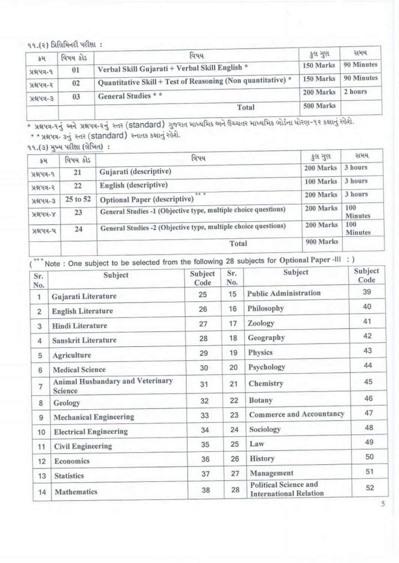૧૧.(૨) પ્રિલિમિનરી પરીક્ષા:

| ક્રમ         | વિષય કોડ | વિષય                                                        |           | સમય        |
|--------------|----------|-------------------------------------------------------------|-----------|------------|
| પ્રશ્નપત્ર-૧ | 01       | Verbal Skill Gujarati + Verbal Skill English *              | 150 Marks | 90 Minutes |
| પ્રશ્નપત્ર-૨ | 02       | Quantitative Skill + Test of Reasoning (Non quantitative) * | 150 Marks | 90 Minutes |
| $x + 3$      | 03       | General Studies * *                                         | 200 Marks | 2 hours    |
|              |          | Total                                                       | 500 Marks |            |

\* પ્રશ્નપત્ર-૧નું અને પ્રશ્નપત્ર-૨નું સ્તર (standard) ગુજરાત માધ્યમિક અને ઉચ્ચતર માધ્યમિક બોર્ડના ધોરણ-૧૨ કક્ષાનું રહેશે.<br>\* \* પ્રશ્નપત્ર- ૩નું સ્તર (standard) સ્નાતક કક્ષાનું રહેશે.

૧૧.(૩) મુખ્ય પરીક્ષા (લેખિત):

| કમ            | વિષય કોડ | વિષય                                                           | ફુલ ગુણ   | સમય                   |
|---------------|----------|----------------------------------------------------------------|-----------|-----------------------|
| પ્રશ્નપત્ર-૧  | 21       | Gujarati (descriptive)                                         | 200 Marks | 3 hours               |
| પ્રશ્નપત્ર-૨  | 22       | English (descriptive)                                          |           | 3 hours               |
| <b>HAY4-3</b> | 25 to 52 | <b>索索 索</b><br>Optional Paper (descriptive)                    | 200 Marks | 3 hours               |
| $x + y + y$   | 23       | General Studies -1 (Objective type, multiple choice questions) | 200 Marks | 100<br><b>Minutes</b> |
| પ્રશ્નપત્ર-પ  | 24       | General Studies -2 (Objective type, multiple choice questions) |           | 100<br><b>Minutes</b> |
|               |          | Total                                                          | 900 Marks |                       |

 $\overline{({}^{***}\text{Note}:}$  One subject to be selected from the following 28 subjects for Optional Paper -III : )

| Sr.<br>No.     | Subject                                     | Subject<br>Code | Sr.<br>No. | Subject                                                       | Subject<br>Code |
|----------------|---------------------------------------------|-----------------|------------|---------------------------------------------------------------|-----------------|
| 1              | Gujarati Literature                         | 25              | 15         | <b>Public Administration</b>                                  | 39              |
| $\overline{2}$ | <b>English Literature</b>                   | 26              | 16         | Philosophy                                                    | 40              |
| 3              | <b>Hindi Literature</b>                     | 27              | 17         | Zoology                                                       | 41              |
| 4              | Sanskrit Literature                         | 28              | 18         | Geography                                                     | 42              |
| 5              | Agriculture                                 | 29              | 19         | Physics                                                       | 43              |
| 6              | <b>Medical Science</b>                      | 30              | 20         | Psychology                                                    | 44              |
| 7              | Animal Husbandary and Veterinary<br>Science | 31              | 21         | Chemistry                                                     | 45              |
| 8              | Geology                                     | 32              | 22         | <b>Botany</b>                                                 | 46              |
| 9              | <b>Mechanical Engineering</b>               | 33              | 23         | <b>Commerce and Accountancy</b>                               | 47              |
| 10             | <b>Electrical Engineering</b>               | 34              | 24         | Sociology                                                     | 48              |
| 11             | <b>Civil Engineering</b>                    | 35              | 25         | Law                                                           | 49              |
| 12             | Economics                                   | 36              | 26         | <b>History</b>                                                | 50              |
| 13             | <b>Statistics</b>                           | 37              | 27         | Management                                                    | 51              |
| 14             | Mathematics                                 | 38              | 28         | <b>Political Science and</b><br><b>International Relation</b> | 52              |

5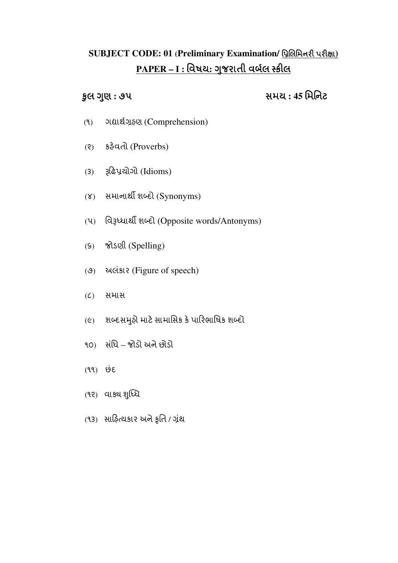## **SUBJECT CODE: 01 (Preliminary Examination/ પ્રિલિમિનરી પરીક્ષા)** <u> PAPER – I : વિષય: ગુજરાતી વર્બલ સ્ક્રીલ</u>

Ȣુલ Ȥણુ **:** ૭૫સમય **: 45** િમિનટ

- (૧) ગČાથ˴હણ ½ (Comprehension)
- (૨) કફેવતી (Proverbs)
- (૩) Įઢ̆યોગો (Idioms)
- (૪) સમાનાર્થી શબ્દો (Synonyms)
- (૫) િવĮƚધાથ શƞદો (Opposite words/Antonyms)
- (૬) જોડણી (Spelling)
- (૭) અલંકાર (Figure of speech)
- (૮) સમાસ
- (૯) શબ્દસમુહો માટે સામાસિક કે પારિભાષિક શબ્દો
- ૧૦) સિધં જોડો અનેછોડો
- (૧૧) છદં
- (૧૨) વાક્ય શુધ્ધિ
- (૧૩) સાફિત્યકાર અને ફૃતિ / ગ્રંથ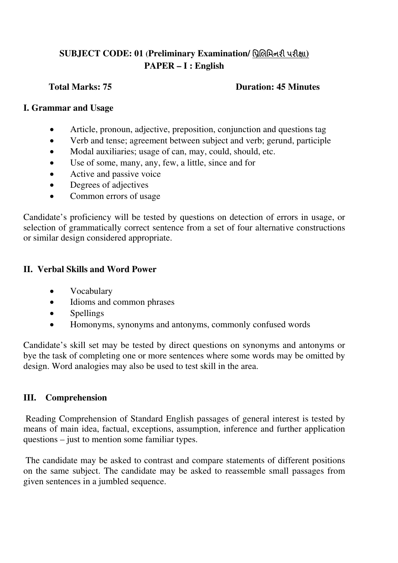## **SUBJECT CODE: 01 (Preliminary Examination/ પ્રિલિમિનરી પરીક્ષા) PAPER – I : English**

#### **Total Marks: 75 Duration: 45 Minutes**

#### **I. Grammar and Usage**

- Article, pronoun, adjective, preposition, conjunction and questions tag
- Verb and tense; agreement between subject and verb; gerund, participle
- Modal auxiliaries; usage of can, may, could, should, etc.
- Use of some, many, any, few, a little, since and for
- Active and passive voice
- Degrees of adjectives
- Common errors of usage

Candidate's proficiency will be tested by questions on detection of errors in usage, or selection of grammatically correct sentence from a set of four alternative constructions or similar design considered appropriate.

### **II. Verbal Skills and Word Power**

- Vocabulary
- Idioms and common phrases
- Spellings
- Homonyms, synonyms and antonyms, commonly confused words

Candidate's skill set may be tested by direct questions on synonyms and antonyms or bye the task of completing one or more sentences where some words may be omitted by design. Word analogies may also be used to test skill in the area.

### **III. Comprehension**

 Reading Comprehension of Standard English passages of general interest is tested by means of main idea, factual, exceptions, assumption, inference and further application questions – just to mention some familiar types.

 The candidate may be asked to contrast and compare statements of different positions on the same subject. The candidate may be asked to reassemble small passages from given sentences in a jumbled sequence.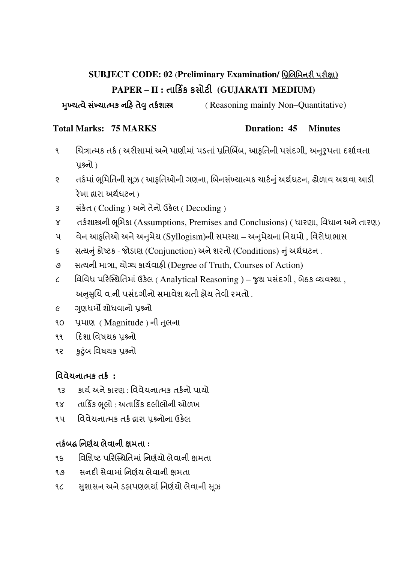## **SUBJECT CODE: 02 (Preliminary Examination/ પ્રિલિમિનરી પરીક્ષા)** PAPER – II : તાર્કિક કસોટી (GUJARATI MEDIUM)

ȺƉુયƗવેસƉં યાƗમક નહ તેɂુતક½શાĘ( Reasoning mainly Non–Quantitative)

#### **Total Marks: 75 MARKS Duration: 45 Minutes**

- ૧ ચિત્રાત્મક તર્ક ( અરીસામાં અને પાણીમાં પડતાં પ્રતિબિંબ, આકૃતિની પસંદગી, અનુરૃપતા દર્શાવતા પશ્ર્નો)
- ૨ તર્કમાં ભુમિતિની સૂઝ ( આકૃતિઓની ગણના, બિનસંખ્યાત્મક ચાર્ટનું અર્થધટન, ઢોળાવ અથવા આડી રેખા લ્રારા અર્થ ધટન )
- 3 સંકેત ( Coding ) અને તેનો ઉકેલ ( Decoding )
- ૪ તર્કશાસ્ત્રની ભૂમિકા (Assumptions, Premises and Conclusions) ( ધારણા, વિધાન અને તારણ)
- ૫ વેન આકૃતિઓ અને અનુમેય (Syllogism)ની સમસ્યા અનુમેયના નિયમો , વિરોધાભાસ
- ૬ સત્યનું કોષ્ટક જોડાણ (Conjunction) અને શરતો (Conditions) નું અર્થધટન.
- ૭ સત્યની માત્રા, યોગ્ય કાર્યવાફી (Degree of Truth, Courses of Action)
- $c$  િવિવિધ પરિસ્થિતિમાં ઉકેલ ( Analytical Reasoning ) જુથ પસંદગી, બેઠક વ્યવસ્થા, અનુસુચિ વ.ની પસંદગીનો સમાવેશ થતી હોય તેવી રમતો .
- ૯ ગુણધર્મો શોધવાનો પ્રશ્ર્નો
- ૧૦ પ્રમાણ (Magnitude) ની તુલના
- ૧૧ દિશા વિષયક પશ્ર્નો
- ૧૨ કુટુંબ વિષયક પ્રશ્ર્નો

## િવવેચનાƗમક તક½ **:**

- ૧૩ કાર્ય અને કારણ · વિવેચનાત્મક તર્કનો પાયો
- ૧૪ તાર્કિક ભૂલો : અતાર્કિક દલીલોની ઓળખ
- ૧૫ વિવેચનાત્મક તર્ક દ્વારા પશ્ર્નોના ઉકેલ

## તક½બć િનણ½ય લેવાની ëમતા **:**

- ૧૬ વિશિષ્ટ પરિસ્થિતિમાં નિર્ણયો લેવાની ક્ષમતા
- ૧૭ સનદી સેવામાં નિર્ણય લેવાની ક્ષમતા
- ૧૮ સશાસન અને ડહાપણભર્યા નિર્ણયો લેવાની સ્ઝ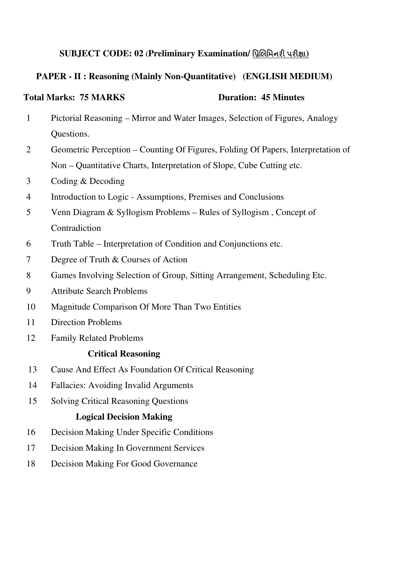### **SUBJECT CODE: 02 (Preliminary Examination/ પ્રિલિમિનરી પરીક્ષા)**

### **PAPER - II : Reasoning (Mainly Non-Quantitative) (ENGLISH MEDIUM)**

### **Total Marks: 75 MARKS Duration: 45 Minutes**

- Pictorial Reasoning Mirror and Water Images, Selection of Figures, Analogy Questions.
- Geometric Perception Counting Of Figures, Folding Of Papers, Interpretation of Non – Quantitative Charts, Interpretation of Slope, Cube Cutting etc.
- Coding & Decoding
- Introduction to Logic Assumptions, Premises and Conclusions
- Venn Diagram & Syllogism Problems Rules of Syllogism , Concept of Contradiction
- Truth Table Interpretation of Condition and Conjunctions etc.
- Degree of Truth & Courses of Action
- Games Involving Selection of Group, Sitting Arrangement, Scheduling Etc.
- Attribute Search Problems
- Magnitude Comparison Of More Than Two Entities
- Direction Problems
- Family Related Problems

#### **Critical Reasoning**

- Cause And Effect As Foundation Of Critical Reasoning
- Fallacies: Avoiding Invalid Arguments
- Solving Critical Reasoning Questions

#### **Logical Decision Making**

- Decision Making Under Specific Conditions
- Decision Making In Government Services
- Decision Making For Good Governance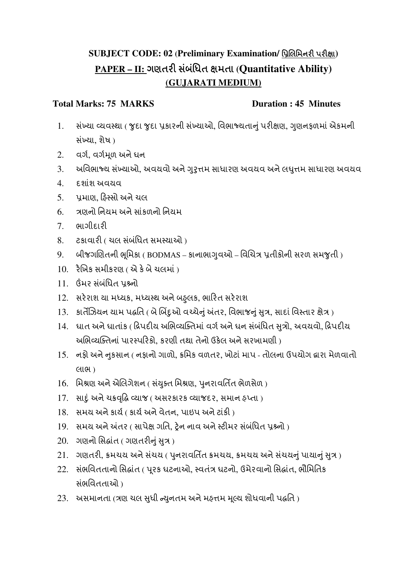## **SUBJECT CODE: 02 (Preliminary Examination/ પ્રિલિમિનરી પરીક્ષા)** PAPER – II: ગણતરી સંબંધિત ક્ષમતા (Quantitative Ability) **(GUJARATI MEDIUM)**

### Total Marks: 75 MARKS **Duration : 45 Minutes**

- 1. સંખ્યા વ્યવસ્થા ( જુદા જુદા પ્રકારની સંખ્યાઓ, વિભાજ્યતાનું પરીક્ષણ, ગુણનફળમાં એકમની સંખ્યા, શેષ)
- $2.$  વર્ગ, વર્ગમૂળ અને ઘન
- 3. અવિભાજ્ય સંખ્યાઓ, અવયવો અને ગુરૃત્તમ સાધારણ અવયવ અને લઘુત્તમ સાધારણ અવયવ
- 4. દશાશં અવયવ
- 5. પમાણ, હિસ્સો અને ચલ
- 6. ંત્રણનો નિયમ અને સાંકળનો નિયમ
- 7. ભાગીદાર
- 8. ટકાવારી ( ચલ સંબંધિત સમસ્યાઓ )
- 9. બીજગણિતની ભૂમિકા ( BODMAS કાનાભાગ્ વઓ વિચિત્ર પ્રતીકોની સરળ સમજુતી )
- $10.$  રૈખિક સમીકરણ (એ કે બે ચલમાં)
- $11.$  ઉંમર સંબંધિત પશ્ર્નો
- 12. સર°રાશ યા મƚયક, મƚયƨથ અનેબɆલક ુ , ભારત સર°રાશ
- 13. કાર્તેઝિયન યામ પદ્ધતિ ( બે બિંદૃઓ વચ્ચેનું અંતર, વિભાજનું સૂત્ર, સાદાં વિસ્તાર ક્ષેત્ર)
- 14. ઘાત અને ઘાતાંક ( દ્રિપદીય અભિવ્યક્તિમાં વર્ગ અને ઘન સંબંધિત સૂત્રો, અવયવો, દ્રિપદીય અભિવ્યક્તિનાં પારસ્પરિકો. કરણી તથા તેનો ઉકેલ અને સરખામણી )
- 15. નકી અને નૂકસાન ( નફાનો ગાળો, ક્રમિક વળતર, ખોટાં માપ તોલના ઉપયોગ દ્વારા મેળવાતો લાભ )
- $16.$  મિશ્રણ અને એલિગેશન ( સંયુક્ત મિશ્રણ, પુનરાવર્તિત ભેળસેળ)
- $17.$  સાદું અને ચક્રવૃદ્ધિ વ્યાજ ( અસરકારક વ્યાજદર, સમાન હપ્તા )
- $18.$  સમય અને કાર્ય ( કાર્ય અને વેતન, પાઇપ અને ટાંકી )
- 19. સમય અને અંતર ( સાપેક્ષ ગતિ, ટ્રેન નાવ અને સ્ટીમર સંબંધિત પ્રશ્ર્નો )
- $20.$  ગણનો સિદ્ધાંત ( ગણતરીનું સૂત્ર)
- 21. ગણતરી, ક્રમચય અને સંચય ( પુનરાવર્તિત ક્રમચય, ક્રમચય અને સંચયનું પાયાનું સુત્ર)
- 22. સંભવિતતાનો સિદ્ધાંત ( પૂરક ઘટનાઓ, સ્વતંત્ર ઘટનો, ઉમેરવાનો સિદ્ધાંત, ભૌમિતિક સભિવતતાઓ ં )
- 23. અસમાનતા (ત્રણ ચલ સુધી ન્યુનતમ અને મહત્તમ મૂલ્ય શોધવાની પદ્ધતિ)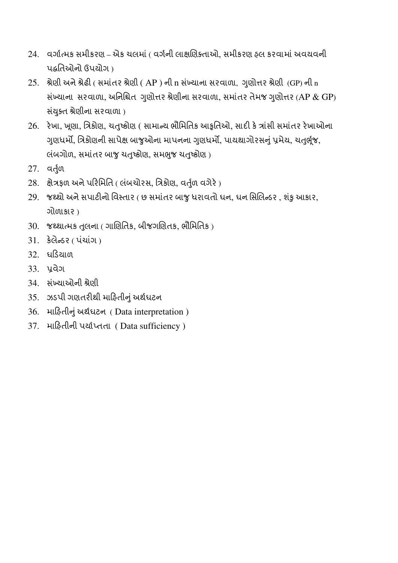- 24. વર્ગાત્મક સમીકરણ એક ચલમાં ( વર્ગની લાક્ષણિક્તાઓ, સમીકરણ હલ કરવામાં અવયવની પćિતઓનો ઉપયોગ )
- 25. શ્રેણી અને શ્રેઢી ( સમાંતર શ્રેણી ( AP ) ની n સંખ્યાના સરવાળા, ગુણોત્તર શ્રેણી (GP) ની n સંખ્યાના સરવાળા, અનિશ્ચિત ગુણોત્તર શ્રેણીના સરવાળા, સમાંતર તેમજ ગુણોત્તર (AP & GP) સંયુક્ત શ્રેણીના સરવાળા)
- 26. રેખા, ખૂણા, ત્રિકોણ, ચતુષ્કોણ ( સામાન્ય ભૌમિતિક આકૃતિઓ, સાદી કે ત્રાંસી સમાંતર રેખાઓના ગુણધર્મો, ત્રિકોણની સાપેક્ષ બાજુઓના માપનના ગુણધર્મો, પાયથાગોરસનું પ્રમેય, ચતુર્ભુજ, લંબગોળ, સમાંતર બાજુ ચતુષ્કોણ, સમભુજ ચતુષ્કોણ)
- $27.$  વર્તુળ
- 28. ક્ષેત્રફળ અને પરિમિતિ ( લંબચોરસ, ત્રિકોણ, વર્તુળ વગેરે)
- 29. જથ્થો અને સપાટીનો વિસ્તાર ( છ સમાંતર બાજુ ધરાવતો ઘન, ઘન સિલિન્ડર, શંકુ આકાર, ગોળાકાર )
- $30.$  જથ્થાત્મક તુલના ( ગાણિતિક, બીજગણિતક, ભૌમિતિક )
- $31.$  કેલેન્ડર ( પંચાંગ)
- 32. ઘડિયા**ળ**
- 33. ̆વેગ
- 34. સંખ્યાઓની શ્રેણી
- 35. ઝડપી ગણતરીથી માહિતીનું અર્થધટન
- 36. માહિતીનું અર્થધટન ( Data interpretation )
- 37. માહતીની પયા½Ɯતતા ( Data sufficiency )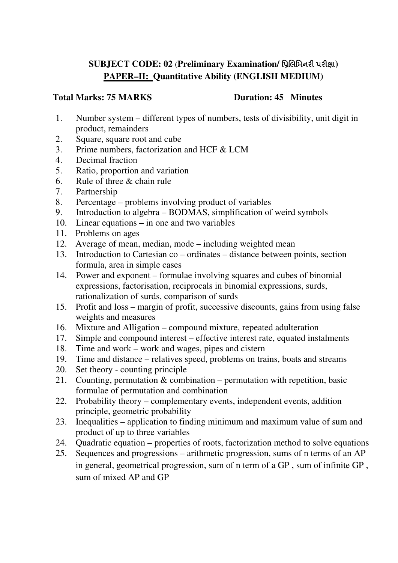## **SUBJECT CODE: 02 (Preliminary Examination/ પ્રિલિમિનરી પરીક્ષા) PAPER–II: Quantitative Ability (ENGLISH MEDIUM)**

### **Total Marks: 75 MARKS Duration: 45 Minutes**

- 1. Number system different types of numbers, tests of divisibility, unit digit in product, remainders
- 2. Square, square root and cube
- 3. Prime numbers, factorization and HCF & LCM
- 4. Decimal fraction
- 5. Ratio, proportion and variation
- 6. Rule of three & chain rule
- 7. Partnership
- 8. Percentage problems involving product of variables
- 9. Introduction to algebra BODMAS, simplification of weird symbols
- 10. Linear equations in one and two variables
- 11. Problems on ages
- 12. Average of mean, median, mode including weighted mean
- 13. Introduction to Cartesian co ordinates distance between points, section formula, area in simple cases
- 14. Power and exponent formulae involving squares and cubes of binomial expressions, factorisation, reciprocals in binomial expressions, surds, rationalization of surds, comparison of surds
- 15. Profit and loss margin of profit, successive discounts, gains from using false weights and measures
- 16. Mixture and Alligation compound mixture, repeated adulteration
- 17. Simple and compound interest effective interest rate, equated instalments
- 18. Time and work work and wages, pipes and cistern
- 19. Time and distance relatives speed, problems on trains, boats and streams
- 20. Set theory counting principle
- 21. Counting, permutation & combination permutation with repetition, basic formulae of permutation and combination
- 22. Probability theory complementary events, independent events, addition principle, geometric probability
- 23. Inequalities application to finding minimum and maximum value of sum and product of up to three variables
- 24. Quadratic equation properties of roots, factorization method to solve equations
- 25. Sequences and progressions arithmetic progression, sums of n terms of an AP in general, geometrical progression, sum of n term of a GP , sum of infinite GP , sum of mixed AP and GP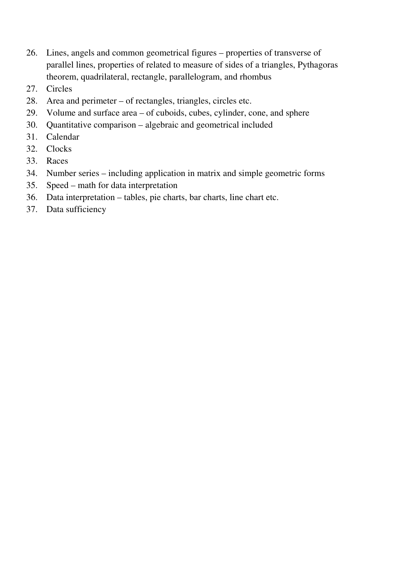- 26. Lines, angels and common geometrical figures properties of transverse of parallel lines, properties of related to measure of sides of a triangles, Pythagoras theorem, quadrilateral, rectangle, parallelogram, and rhombus
- 27. Circles
- 28. Area and perimeter of rectangles, triangles, circles etc.
- 29. Volume and surface area of cuboids, cubes, cylinder, cone, and sphere
- 30. Quantitative comparison algebraic and geometrical included
- 31. Calendar
- 32. Clocks
- 33. Races
- 34. Number series including application in matrix and simple geometric forms
- 35. Speed math for data interpretation
- 36. Data interpretation tables, pie charts, bar charts, line chart etc.
- 37. Data sufficiency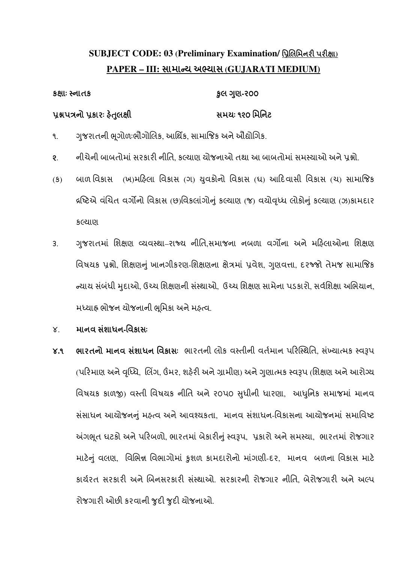## **SUBJECT CODE: 03 (Preliminary Examination/ પ્રિલિમિનરી પરીક્ષા) PAPER – III:** સામાƛય અƟયાસ **(GUJARATI MEDIUM)**

# કëાઃ ƨનાતકȢુલ Ȥણુ **-**ર૦૦ પ્રશ્નપત્રનો પ્રકારઃ હેતલક્ષી સમયા: ૧૨૦ મિનિટ

- ૧. ગજરાતની ભગોળઃભૌગોલિક. આર્થિક. સામાજિક અને ઔદ્યોગિક.
- ૨. નીચેની બાબતોમાં સરકારી નીતિ. કલ્યાણ યોજનાઓ તથા આ બાબતોમાં સમસ્યાઓ અને પશ્નો.
- (ક) બાળ વિકાસ (ખ)મહિલા વિકાસ (ગ) ચવકોનો વિકાસ (ઘ) આદિવાસી વિકાસ (ચ) સામાજિક લષ્ટિએ વંચિત વર્ગોનો વિકાસ (છ)વિકલાંગોનું કલ્યાણ (જ) વયોવૃધ્ધ લોકોનું કલ્યાણ (ઝ)કામદાર કƣયાણ
- ૩. ગુજરાતમાં શિક્ષણ વ્યવસ્થા–રાજ્ય નીતિ,સમાજના નબળા વર્ગોના અને મહિલાઓના શિક્ષણ વિષયક પ્રશ્નો, શિક્ષણનું ખાનગીકરણ-શિક્ષણના ક્ષેત્રમાં પ્રવેશ, ગુણવત્તા, દરજ્જો તેમજ સામાજિક ન્ચાય સંબંધી મુદાઓ, ઉચ્ચ શિક્ષણની સંસ્થાઓ, ઉચ્ચ શિક્ષણ સામેના પડકારો, સર્વશિક્ષા અભિયાન, મધ્યાહ્ન ભોજન યોજનાની ભૂમિકા અને મહ્ત્વ.
- ૪. માનવ સશં ાધન**-**િવકાસઃ
- ૪.૧ ભારતનો માનવ સંશાધન વિકાસઃ ભારતની લોક વસ્તીની વર્તમાન પરિસ્થિતિ, સંખ્યાત્મક સ્વરૂપ (પરિમાણ અને વૃધ્ધિ, લિંગ, ઉંમર, શહેરી અને ગ્રામીણ) અને ગુણાત્મક સ્વરૂપ (શિક્ષણ અને આરોગ્ય વિષયક કાળજી) વસ્તી વિષયક નીતિ અને ૨૦૫૦ સુધીની ધારણા, આધુનિક સમાજમાં માનવ સંસાધન આયોજનનું મહ્ત્વ અને આવશ્યકતા, માનવ સંશાધન-વિકાસના આયોજનમાં સમાવિષ્ટ અંગભુત ઘટકો અને પરિબળો, ભારતમાં બેકારીનું સ્વરૂપ, પ્રકારો અને સમસ્યા, ભારતમાં રોજગાર માટેનું વલણ, વિભિન્ન વિભાગોમાં કુશળ કામદારોનો માંગણી-દર, માનવ બળના વિકાસ માટે કાર્યરત સરકારી અને બિનસરકારી સંસ્થાઓ. સરકારની રોજગાર નીતિ. બેરોજગારી અને અલ્પ રોજગારી ઓછી કરવાની જુદી જુદી યોજનાઓ.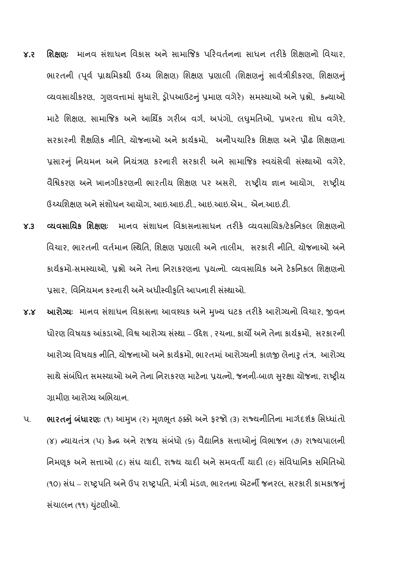- ૪**.૨ શિક્ષણ**ઃ માનવ સંશાધન વિકાસ અને સામાજિક પરિવર્તનના સાધન તરીકે શિક્ષણનો વિચાર, ભારતની (પૂર્વ પ્રાથમિકથી ઉચ્ચ શિક્ષણ) શિક્ષણ પ્રણાલી (શિક્ષણનું સાર્વત્રીકીકરણ, શિક્ષણનું વ્યવસાયીકરણ, ગુણવત્તામાં સુધારો, ડ્રોપઆઉટનું પ્રમાણ વગેરે) સમસ્યાઓ અને પ્રશ્નો, કન્યાઓ માટે શિક્ષણ, સામાજિક અને આર્થિક ગરીબ વર્ગ, અપંગો, લઘુમતિઓ, પ્રખરતા શોધ વગેરે, સરકારની શૈક્ષણિક નીતિ, યોજનાઓ અને કાર્યક્રમો, અનૌપચારિક શિક્ષણ અને પ્રૌઢ શિક્ષણના પ્રસારનું નિયમન અને નિયંત્રણ કરનારી સરકારી અને સામાજિક સ્વયંસેવી સંસ્થાઓ વગેરે. વૈશ્વિકરણ અને ખાનગીકરણની ભારતીય શિક્ષણ પર અસરો, રાષ્ટીય જ્ઞાન આયોગ, રાષ્ટીય ઉચ્ચશિક્ષણ અને સંશોધન આયોગ, આઇ.આઇ.ટી., આઇ.આઇ.એમ., એન.આઇ.ટી.
- ૪**.**૩ ƥયવસાિયક િશëણઃ માનવ સશાધન ં િવકાસનાસાધન તરક° ƥયવસાિયક/ટ°કિનકલ િશëણનો વિચાર, ભારતની વર્તમાન સ્થિતિ, શિક્ષણ પ્રણાલી અને તાલીમ, સરકારી નીતિ, યોજનાઓ અને કાર્યક્રમો-સમસ્યાઓ, પ્રશ્નો અને તેના નિરાકરણના પ્રયત્નો. વ્યવસાયિક અને ટેકનિકલ શિક્ષણનો પ્રસાર. વિનિયમન કરનારી અને અધીસ્વીકૃતિ આપનારી સંસ્થાઓ.
- ૪.૪ શ્વારોગ્યઃ માનવ સંશાધન વિકાસના આવશ્યક અને મખ્ય ઘટક તરીકે આરોગ્યનો વિચાર, જીવન ધોરણ વિષયક આંકડાઓ, વિશ્વ આરોગ્ય સંસ્થા – ઉદ્દેશ , રચના, કાર્યો અને તેના કાર્યક્રમો, સરકારની આરોગ્ય વિષયક નીતિ. યોજનાઓ અને કાર્યક્રમો. ભારતમાં આરોગ્યની કાળજી લેનાર તંત્ર. આરોગ્ય સાથે સંબંધિત સમસ્યાઓ અને તેના નિરાકરણ માટેના પ્રયત્નો, જનની-બાળ સુરક્ષા યોજના, રાષ્ટ્રીય ગ્રામીણ આરોગ્ય અભિયાન.
- પ. ભારતનું બંધારણઃ (૧) આમુખ (૨) મુળભુત ફક્કી અને ફરજો (૩) રાજ્યનીતિના માર્ગદર્શક સિધ્ધાંતો (૪) ન્યાયતંત્ર (૫) કેન્દ્ર અને રાજય સંબંધો (૬) વૈદ્યાનિક સત્તાઓનું વિભાજન (૭) રાજ્યપાલની નિમણૂક અને સત્તાઓ (૮) સંઘ યાદી, રાજ્ય યાદી અને સમવતી યાદી (૯) સંવિધાનિક સમિતિઓ (૧૦) સંઘ – રાષ્ટ્રપતિ અને ઉપ રાષ્ટ્રપતિ, મંત્રી મંડળ, ભારતના એટર્ની જનરલ, સરકારી કામકાજનું સંચાલન (૧૧) ચુંટણીઓ.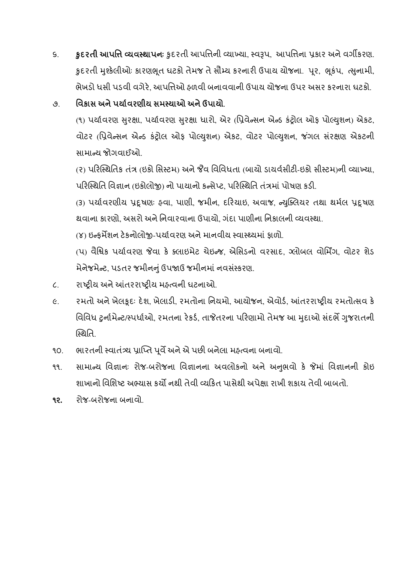s. કુદર**તી આપત્તિ વ્યવસ્થાપન**ઃ કુદરતી આપત્તિની વ્યાખ્યા, સ્વરૂપ, આપત્તિના પ્રકાર અને વર્ગીકરણ. કુદરતી મુશ્કેલીઓઃ કારણભૂત ઘટકો તેમજ તે સૌમ્ય કરનારી ઉપાય યોજના. પૂર, ભુકંપ, ત્સુનામી, ભેખડો ધસી પડવી વગેરે. આપત્તિઓ ઠળવી બનાવવાની ઉપાય યોજના ઉપર અસર કરનારા ધટકો.

## ૭. િવિકાસ અને પર્યાવરણીય સમસ્યાઓ અને ઉપાયો.

(૧) પર્યાવરણ સુરક્ષા, પર્યાવરણ સુરક્ષા ધારો, એર (પ્રિવેન્સન એન્ડ કંટ્રોલ ઓફ પોલ્યુશન) એકટ, વોટર (પ્રિવેન્સન એન્ડ કંટોલ ઓક પોલ્થશન) એકટ, વોટર પોલ્યશન, જંગલ સંરક્ષણ એકટની સામાન્ય જોગવાઈઓ

(૨) પરિસ્થિતિક તંત્ર (ઇકો સિસ્ટમ) અને જૈવ વિવિધતા (બાયો ડાયર્વસીટી-ઇકો સીસ્ટમ)ની વ્યાખ્યા, પરિસ્થિતિ વિજ્ઞાન (ઇકોલોજ) નો પાયાનો કન્સેપ્ટ. પરિસ્થિતિ તંત્રમાં પોષણ કડી.

(3) પર્યાવરણીય પ્રદૂષણઃ હવા, પાણી, જમીન, દરિયાઇ, અવાજ, ન્યુક્લિયર તથા થર્મલ પ્રદૂષણ થવાના કારણો, અસરો અને નિવારવાના ઉપાયો, ગંદા પાણીના નિકાલની વ્યવસ્થા.

(૪) ઇન્કર્મેશન ટેકનોલોજી-પર્યાવરણ અને માનવીય સ્વાસ્થ્યમાં કાળો.

(પ) વૈશ્વિક પર્યાવરણ જેવા કે ક્લાઇમેટ ચેઇન્જ, એસિડનો વરસાદ, ગ્લોબલ વોર્મિંગ, વોટર શેડ મેનેજમેન્ટ, પડતર જમીનનું ઉપજાઉ જમીનમાં નવસંસ્કરણ.

- ૮. રાષ્ટ્રીય અને આંતરરાષ્ટ્રીય મહ્ત્વની ઘટનાઓ.
- ૯. રમતો અને ખેલકૂદઃ દેશ, ખેલાડી, રમતોના નિયમો, આયોજન, એવોર્ડ, આંતરરાષ્ટ્રીય રમતોત્સવ કે વિવિધ ટુર્નામેન્ટ/સ્પર્ધાઓ, રમતના રેકર્ડ, તાજેતરના પરિણામો તેમજ આ મદાઓ સંદર્ભે ગુજરાતની ƨથિત.
- ૧૦. ભારતની સ્વાતંત્ર્ય પ્રાપ્તિ પૂર્વે અને એ પછી બનેલા મહ્ત્વના બનાવો.
- ૧૧. સામાન્ય વિજ્ઞાનઃ રોજ-બરોજના વિજ્ઞાનના અવલોકનો અને અનુભવો કે જેમાં વિજ્ઞાનની કોઇ શાખાનો વિશિષ્ટ અભ્યાસ કર્યો નથી તેવી વ્યકિત પાસેથી અપેક્ષા રાખી શકાય તેવી બાબતો.
- ૧૨**.** રોજ-બરોજના બનાવો.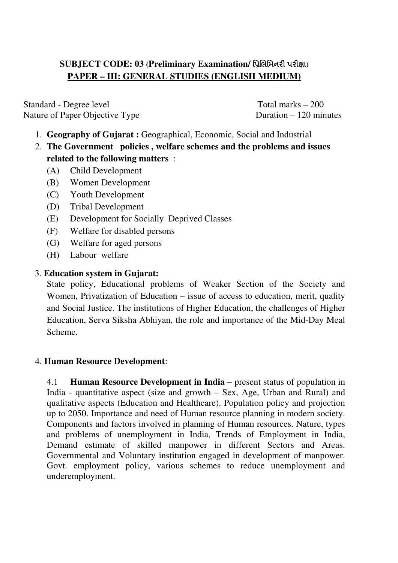## **SUBJECT CODE: 03** *(Preliminary Examination/ પિલિમિનરી પરીક્ષા)* **PAPER – III: GENERAL STUDIES (ENGLISH MEDIUM)**

Standard - Degree level Total marks – 200 Nature of Paper Objective Type Duration – 120 minutes

- 1. **Geography of Gujarat :** Geographical, Economic, Social and Industrial
- 2. **The Government policies , welfare schemes and the problems and issues related to the following matters** :
	- (A) Child Development
	- (B) Women Development
	- (C) Youth Development
	- (D) Tribal Development
	- (E) Development for Socially Deprived Classes
	- (F) Welfare for disabled persons
	- (G) Welfare for aged persons
	- (H) Labour welfare

#### 3. **Education system in Gujarat:**

State policy, Educational problems of Weaker Section of the Society and Women, Privatization of Education – issue of access to education, merit, quality and Social Justice. The institutions of Higher Education, the challenges of Higher Education, Serva Siksha Abhiyan, the role and importance of the Mid-Day Meal Scheme.

#### 4. **Human Resource Development**:

4.1 **Human Resource Development in India** – present status of population in India - quantitative aspect (size and growth – Sex, Age, Urban and Rural) and qualitative aspects (Education and Healthcare). Population policy and projection up to 2050. Importance and need of Human resource planning in modern society. Components and factors involved in planning of Human resources. Nature, types and problems of unemployment in India, Trends of Employment in India, Demand estimate of skilled manpower in different Sectors and Areas. Governmental and Voluntary institution engaged in development of manpower. Govt. employment policy, various schemes to reduce unemployment and underemployment.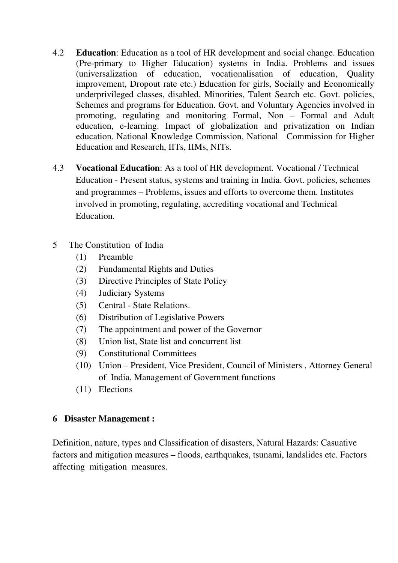- 4.2 **Education**: Education as a tool of HR development and social change. Education (Pre-primary to Higher Education) systems in India. Problems and issues (universalization of education, vocationalisation of education, Quality improvement, Dropout rate etc.) Education for girls, Socially and Economically underprivileged classes, disabled, Minorities, Talent Search etc. Govt. policies, Schemes and programs for Education. Govt. and Voluntary Agencies involved in promoting, regulating and monitoring Formal, Non – Formal and Adult education, e-learning. Impact of globalization and privatization on Indian education. National Knowledge Commission, National Commission for Higher Education and Research, IITs, IIMs, NITs.
- 4.3 **Vocational Education**: As a tool of HR development. Vocational / Technical Education - Present status, systems and training in India. Govt. policies, schemes and programmes – Problems, issues and efforts to overcome them. Institutes involved in promoting, regulating, accrediting vocational and Technical Education.
- 5 The Constitution of India
	- (1) Preamble
	- (2) Fundamental Rights and Duties
	- (3) Directive Principles of State Policy
	- (4) Judiciary Systems
	- (5) Central State Relations.
	- (6) Distribution of Legislative Powers
	- (7) The appointment and power of the Governor
	- (8) Union list, State list and concurrent list
	- (9) Constitutional Committees
	- (10) Union President, Vice President, Council of Ministers , Attorney General of India, Management of Government functions
	- (11) Elections

#### **6 Disaster Management :**

Definition, nature, types and Classification of disasters, Natural Hazards: Casuative factors and mitigation measures – floods, earthquakes, tsunami, landslides etc. Factors affecting mitigation measures.